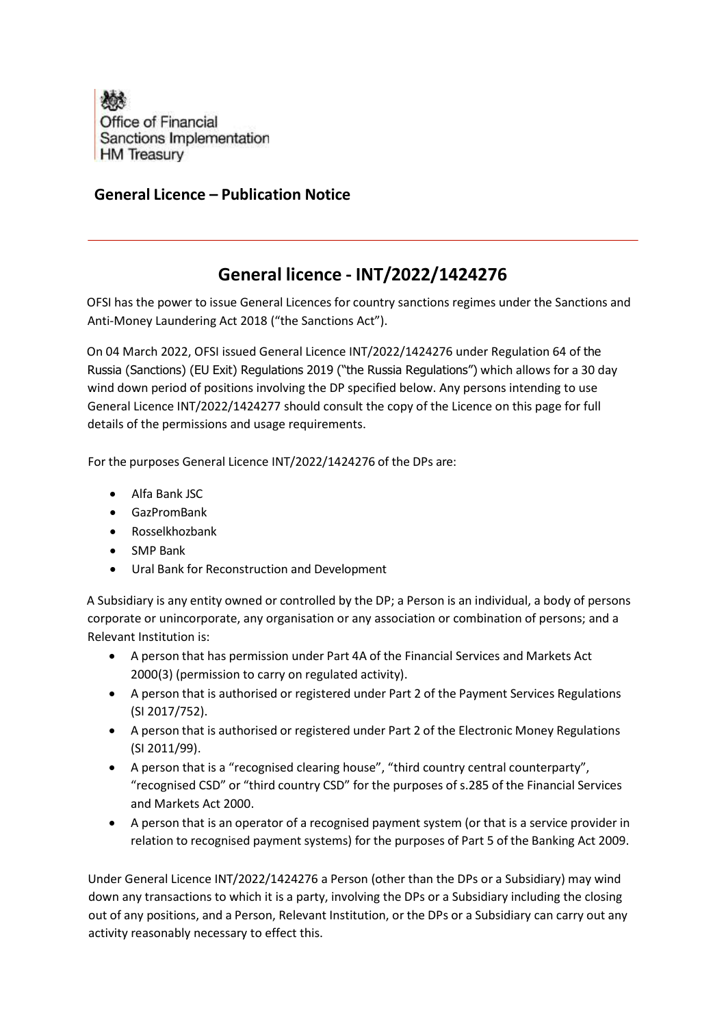

## General Licence – Publication Notice

## General licence - INT/2022/1424276

OFSI has the power to issue General Licences for country sanctions regimes under the Sanctions and Anti-Money Laundering Act 2018 ("the Sanctions Act").

On 04 March 2022, OFSI issued General Licence INT/2022/1424276 under Regulation 64 of the Russia (Sanctions) (EU Exit) Regulations 2019 ("the Russia Regulations") which allows for a 30 day wind down period of positions involving the DP specified below. Any persons intending to use General Licence INT/2022/1424277 should consult the copy of the Licence on this page for full details of the permissions and usage requirements.

For the purposes General Licence INT/2022/1424276 of the DPs are:

- Alfa Bank JSC
- GazPromBank
- Rosselkhozbank
- SMP Bank
- Ural Bank for Reconstruction and Development

A Subsidiary is any entity owned or controlled by the DP; a Person is an individual, a body of persons corporate or unincorporate, any organisation or any association or combination of persons; and a Relevant Institution is:

- A person that has permission under Part 4A of the Financial Services and Markets Act 2000(3) (permission to carry on regulated activity).
- A person that is authorised or registered under Part 2 of the Payment Services Regulations (SI 2017/752).
- A person that is authorised or registered under Part 2 of the Electronic Money Regulations (SI 2011/99).
- A person that is a "recognised clearing house", "third country central counterparty", "recognised CSD" or "third country CSD" for the purposes of s.285 of the Financial Services and Markets Act 2000.
- A person that is an operator of a recognised payment system (or that is a service provider in relation to recognised payment systems) for the purposes of Part 5 of the Banking Act 2009.

Under General Licence INT/2022/1424276 a Person (other than the DPs or a Subsidiary) may wind down any transactions to which it is a party, involving the DPs or a Subsidiary including the closing out of any positions, and a Person, Relevant Institution, or the DPs or a Subsidiary can carry out any activity reasonably necessary to effect this.